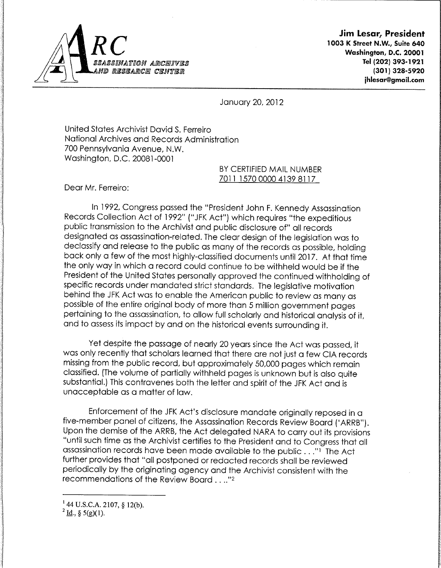

*Jim Lesar, President* 1003 K Street N.W., Suite 640 **L** V **\\*y** Washington, D.C. 20001 88ASSINATION ARCHIIVES | <mark>1993-1921 | 1993-1921 | 1993-1921 | 1993-1921 | 1993-1921</mark><br>ID RESEARCHI CENTER jhiesar@gmail.com

## January 20, 2012

United States Archivist David S. Ferreiro National Archives and Records Administration 700 Pennsylvania Avenue, N.W. Washington, D.C. 20081-0001

> BY CERTIFIED MAIL NUMBER 7011 1570 0000 4139 8117

Dear Mr. Ferreiro:

In 1992, Congress passed the "President John F. Kennedy Assassination Records Collection Act of 1992" ("JFK Act") which requires "the expeditious public transmission to the Archivist and public disclosure of" all records designated as assassination-related. The clear design of the legislation was to declassify and release to the public as many of the records as possible, holding back only a few of the most highly-classified documents until 2017. At that time the only way in which a record could continue to be withheld would be if the President of the United States personally approved the continued withholding of specific records under mandated strict standards. The legislative motivation behind the JFK Act was to enable the American public to review as many as possible of the entire original body of more than 5 million government pages pertaining to the assassination, to allow full scholarly and historical analysis of it, and to assessits impact by and on the historical events surrounding it.

Yet despite the passage of nearly 20 years since the Act was passed, it was only recently that scholars learned that there are not just a few CIA records missing from the public record, but approximately 50,000 pages which remain classified. (The volume of partially withheld pages is unknown but is also quite substantial.) This contravenes both the letter and spirit of the JFK Act and is unacceptable as a matter of law.

Enforcement of the JFK Act's disclosure mandate originally reposed in a five-member panel of citizens, the Assassination Records Review Board ('ARRB"). Upon the demise of the ARRB, the Act delegated NARA to carry out its provisions "until such time as the Archivist certifies to the President and to Congress that all assassination records have been made available to the public . . ."<sup>1</sup> The Act further provides that "all postponed or redacted records shall be reviewed periodically by the originating agency and the Archivist consistent with the recommendations of the Review Board .. .."2

 $144$  U.S.C.A. 2107, § 12(b).

 $^{2}$  <u>Id.</u>, § 5(g)(1).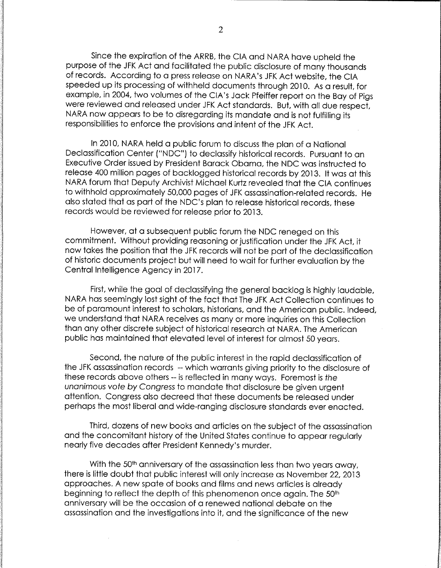Since the expiration of the ARRB, the CIA and NARA have upheld the purpose of the JFK Act and facilitated the public disclosure of many thousands of records. According to a press release on NARA's JFK Act website, the CIA speeded up its processing of withheld documents through 2010. As a result, for example, in 2004, two volumes of the CIA's Jack Pfeiffer report on the Bay of Pigs were reviewed and released under JFK Act standards. But, with all due respect, NARA now appears to be to disregarding its mandate and is not fulfilling its responsibilities to enforce the provisions and intent of the JFK Act.

In 2010, NARA held a public forum to discuss the plan of a National Declassification Center ("NDC") to declassify historical records. Pursuant to an Executive Order issued by President Barack Obama, the NDC was instructed to release 400 million pages of backlogged historical records by 2013. It was at this NARA forum that Deputy Archivist Michael Kurtz revealed that the CIA continues to withhold approximately 50,000 pages of JFK assassination-related records. He also stated that as part of the NDC's plan to release historical records, these records would be reviewed for release prior to 2013.

However, at a subsequent public forum the NDC reneged on this commitment. Without providing reasoning or justification under the JFK Act, it now takes the position that the JFK records will not be part of the declassification of historic documents project but will need to wait for further evaluation by the Central Intelligence Agency in 2017.

First, while the goal of declassifying the general backlog is highly laudable, NARA has seemingly lost sight of the fact that The JFK Act Collection continues to be of paramount interest to scholars, historians, and the American public. Indeed, we understand that NARA receives as many or more inquiries on this Collection than any other discrete subject of historical research at NARA. The American public has maintained that elevated level of interest for almost 50 years.

Second, the nature of the public interest in the rapid declassification of the JFK assassination records - which warrants giving priority to the disclosure of these records above others -- isreflected in many ways. Foremost is**the unanimous vote by Congress** to mandate that disclosure be given urgent attention. Congress also decreed that these documents be released under perhaps the most liberal and wide-ranging disclosure standards ever enacted.

Third, dozens of new books and articles on the subject of the assassination and the concomitant history of the United States continue to appear regularly nearly five decades after President Kennedy's murder.

With the 50<sup>th</sup> anniversary of the assassination less than two years away, there is little doubt that public interest will only increase as November 22, 2013 approaches. A new spate of books and films and news articles is already beginning to reflect the depth of this phenomenon once again. The 50<sup>th</sup> anniversary will be the occasion of a renewed national debate on the assassination and the investigations into it, and the significance of the new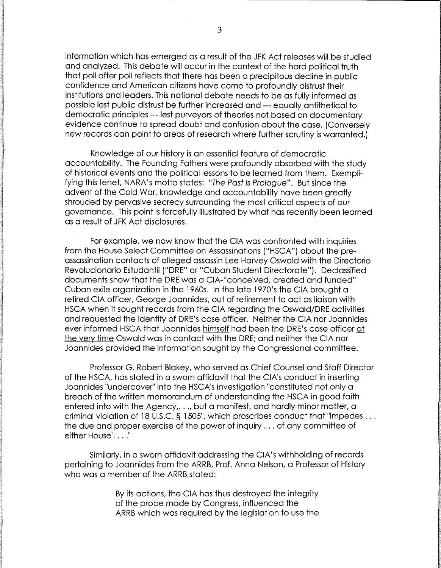information which has emerged as a result of the JFK Act releases will be studied and analyzed. This debate will occur in the context of the hard political truth that poll after poll reflects that there has been a precipitous decline in public confidence and American citizens have come to profoundly distrust their institutions and leaders. This national debate needs to be as fully informed as possible lest public distrust be further increased and — equally antithetical to democratic principles — lest purveyors of theories not based on documentary evidence continue to spread doubt and confusion about the case. (Conversely new records can point to areas of research where further scrutiny is warranted.)

Knowledge of our history is an essential feature of democratic accountability. The Founding Fathers were profoundly absorbed with the study of historical events and the political lessons to be learned from them. Exempli fying this tenet, NARA's motto states: **"The Past Is Prologue".** But since the advent of the Cold War, knowledge and accountability have been greatly shrouded by pervasive secrecy surrounding the most critical aspects of our governance. This point is forcefully illustrated by what has recently been learned as a result of JFK Act disclosures.

For example, we now know that the CIA was confronted with inquiries from the House Select Committee on Assassinations ("HSCA") about the preassassination contacts of alleged assassin Lee Harvey Oswald with the Directorio Revolucionario Estudantil ("DRE" or "Cuban Student Directorate"). Declassified documents show that the DRE was a CIA-"conceived, created and funded" Cuban exile organization in the 1960s. In the late 1970's the CIA brought a retired CIA officer, George Joannides, out of retirement to act as liaison with HSCA when it sought records from the CIA regarding the Oswald/DRE activities and requested the identity of DRE's case officer. Neither the CIA nor Joannides ever informed HSCA that Joannides himself had been the DRE's case officer at the very time Oswald was in contact with the DRE; and neither the CIA nor Joannides provided the information sought by the Congressional committee.

Professor G. Robert Blakey, who served as Chief Counsel and Staff Director of the HSCA, has stated in a sworn affidavit that the CIA's conduct in inserting Joannides "undercover" into the HSCA's investigation "constituted not only a breach of the written memorandum of understanding the HSCA in good faith entered into with the Agency,..., but a manifest, and hardly minor matter, a criminal violation of 18 U.S.C. § 1505", which proscribes conduct that "impedes... the due and proper exercise of the power of inquiry ... of any committee of either House'...."

Similarly, in a sworn affidavit addressing the CIA's withholding of records pertaining to Joannides from the ARRB, Prof. Anna Nelson, a Professor of History who was <sup>a</sup> member of the ARRB stated:

> By its actions, the CIA has thus destroyed the integrity of the probe made by Congress, influenced the ARRB which was required by the legislation to use the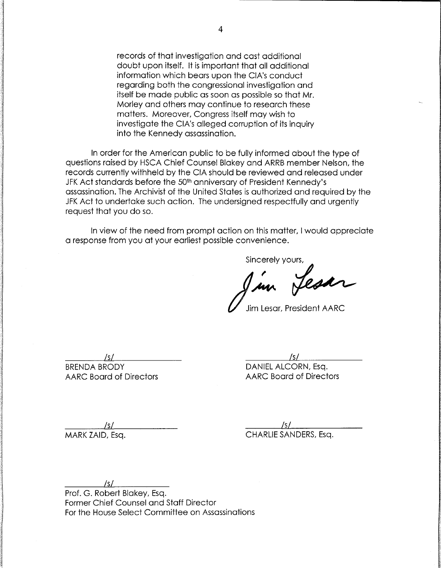records of that investigation and cast additional doubt upon itself. It is important that all additional information which bears upon the CIA's conduct regarding both the congressional investigation and itself be made public as soon as possible so that Mr. Morley and others may continue to research these matters. Moreover, Congress itself may wish to investigate the CIA's alleged corruption of its inquiry into the Kennedy assassination.

In order for the American public to be fully informed about the type of questions raised by HSCA Chief Counsel Blakey and ARRB member Nelson, the records currently withheld by the CIA should be reviewed and released under JFK Act standards before the 50<sup>th</sup> anniversary of President Kennedy's assassination. The Archivist of the United States is authorized and required by the JFK Act to undertake such action. The undersigned respectfully and urgently request that you do so.

In view of the need from prompt action on this matter, I would appreciate a response from you at your earliest possible convenience.

Sincerely yours,<br>I in fest

**t/** Jim Lesar, President AARC

**M IsL** BRENDA BRODY DANIEL ALCORN, Esq.

AARC Board of Directors AARC Board of Directors

<u>Machine (S)</u> (S) MARK ZAID, Esq. **CHARLIE SANDERS**, Esq.

 $\frac{1}{\sqrt{2}}$ 

Prof. G. Robert Blakey, Esq. Former Chief Counsel and Staff Director For the House Select Committee on Assassinations